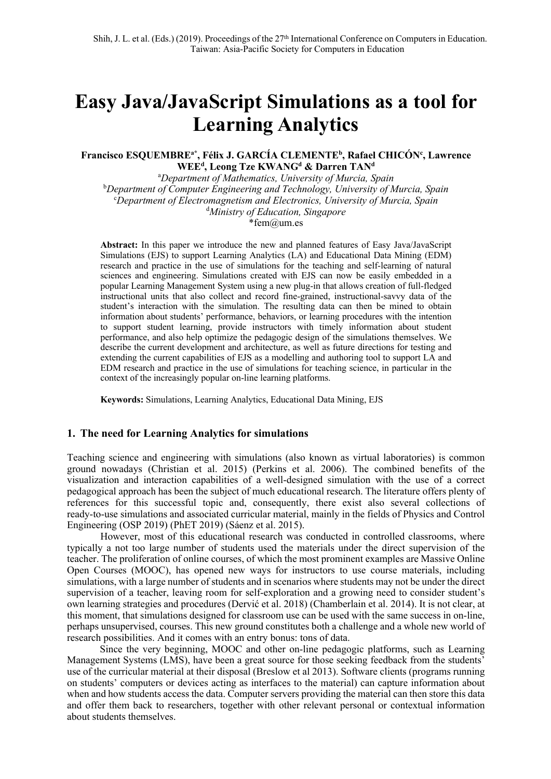# **Easy Java/JavaScript Simulations as a tool for Learning Analytics**

### **Francisco ESQUEMBREa\*, Félix J. GARCÍA CLEMENTEb , Rafael CHICÓNc , Lawrence**  $WEE<sup>d</sup>$ , Leong Tze KWANG<sup>d</sup> & Darren TAN<sup>d</sup>

a *Department of Mathematics, University of Murcia, Spain* b *Department of Computer Engineering and Technology, University of Murcia, Spain* c *Department of Electromagnetism and Electronics, University of Murcia, Spain* d *Ministry of Education, Singapore* \*fem@um.es

**Abstract:** In this paper we introduce the new and planned features of Easy Java/JavaScript Simulations (EJS) to support Learning Analytics (LA) and Educational Data Mining (EDM) research and practice in the use of simulations for the teaching and self-learning of natural sciences and engineering. Simulations created with EJS can now be easily embedded in a popular Learning Management System using a new plug-in that allows creation of full-fledged instructional units that also collect and record fine-grained, instructional-savvy data of the student's interaction with the simulation. The resulting data can then be mined to obtain information about students' performance, behaviors, or learning procedures with the intention to support student learning, provide instructors with timely information about student performance, and also help optimize the pedagogic design of the simulations themselves. We describe the current development and architecture, as well as future directions for testing and extending the current capabilities of EJS as a modelling and authoring tool to support LA and EDM research and practice in the use of simulations for teaching science, in particular in the context of the increasingly popular on-line learning platforms.

**Keywords:** Simulations, Learning Analytics, Educational Data Mining, EJS

## **1. The need for Learning Analytics for simulations**

Teaching science and engineering with simulations (also known as virtual laboratories) is common ground nowadays (Christian et al. 2015) (Perkins et al. 2006). The combined benefits of the visualization and interaction capabilities of a well-designed simulation with the use of a correct pedagogical approach has been the subject of much educational research. The literature offers plenty of references for this successful topic and, consequently, there exist also several collections of ready-to-use simulations and associated curricular material, mainly in the fields of Physics and Control Engineering (OSP 2019) (PhET 2019) (Sáenz et al. 2015).

However, most of this educational research was conducted in controlled classrooms, where typically a not too large number of students used the materials under the direct supervision of the teacher. The proliferation of online courses, of which the most prominent examples are Massive Online Open Courses (MOOC), has opened new ways for instructors to use course materials, including simulations, with a large number of students and in scenarios where students may not be under the direct supervision of a teacher, leaving room for self-exploration and a growing need to consider student's own learning strategies and procedures (Dervić et al. 2018) (Chamberlain et al. 2014). It is not clear, at this moment, that simulations designed for classroom use can be used with the same success in on-line, perhaps unsupervised, courses. This new ground constitutes both a challenge and a whole new world of research possibilities. And it comes with an entry bonus: tons of data.

Since the very beginning, MOOC and other on-line pedagogic platforms, such as Learning Management Systems (LMS), have been a great source for those seeking feedback from the students' use of the curricular material at their disposal (Breslow et al 2013). Software clients (programs running on students' computers or devices acting as interfaces to the material) can capture information about when and how students access the data. Computer servers providing the material can then store this data and offer them back to researchers, together with other relevant personal or contextual information about students themselves.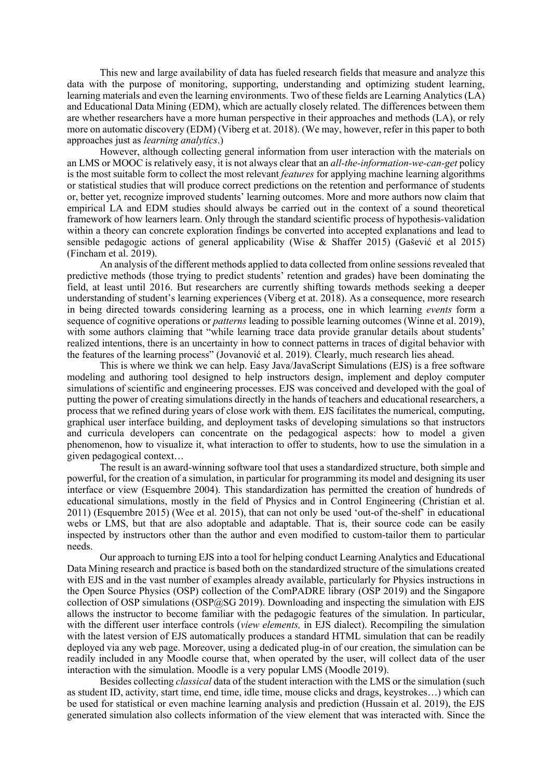This new and large availability of data has fueled research fields that measure and analyze this data with the purpose of monitoring, supporting, understanding and optimizing student learning, learning materials and even the learning environments. Two of these fields are Learning Analytics (LA) and Educational Data Mining (EDM), which are actually closely related. The differences between them are whether researchers have a more human perspective in their approaches and methods (LA), or rely more on automatic discovery (EDM) (Viberg et at. 2018). (We may, however, refer in this paper to both approaches just as *learning analytics*.)

However, although collecting general information from user interaction with the materials on an LMS or MOOC is relatively easy, it is not always clear that an *all-the-information-we-can-get* policy is the most suitable form to collect the most relevant *features* for applying machine learning algorithms or statistical studies that will produce correct predictions on the retention and performance of students or, better yet, recognize improved students' learning outcomes. More and more authors now claim that empirical LA and EDM studies should always be carried out in the context of a sound theoretical framework of how learners learn. Only through the standard scientific process of hypothesis-validation within a theory can concrete exploration findings be converted into accepted explanations and lead to sensible pedagogic actions of general applicability (Wise & Shaffer 2015) (Gašević et al 2015) (Fincham et al. 2019).

An analysis of the different methods applied to data collected from online sessions revealed that predictive methods (those trying to predict students' retention and grades) have been dominating the field, at least until 2016. But researchers are currently shifting towards methods seeking a deeper understanding of student's learning experiences (Viberg et at. 2018). As a consequence, more research in being directed towards considering learning as a process, one in which learning *events* form a sequence of cognitive operations or *patterns* leading to possible learning outcomes (Winne et al. 2019), with some authors claiming that "while learning trace data provide granular details about students' realized intentions, there is an uncertainty in how to connect patterns in traces of digital behavior with the features of the learning process" (Jovanović et al. 2019). Clearly, much research lies ahead.

This is where we think we can help. Easy Java/JavaScript Simulations (EJS) is a free software modeling and authoring tool designed to help instructors design, implement and deploy computer simulations of scientific and engineering processes. EJS was conceived and developed with the goal of putting the power of creating simulations directly in the hands of teachers and educational researchers, a process that we refined during years of close work with them. EJS facilitates the numerical, computing, graphical user interface building, and deployment tasks of developing simulations so that instructors and curricula developers can concentrate on the pedagogical aspects: how to model a given phenomenon, how to visualize it, what interaction to offer to students, how to use the simulation in a given pedagogical context…

The result is an award-winning software tool that uses a standardized structure, both simple and powerful, for the creation of a simulation, in particular for programming its model and designing its user interface or view (Esquembre 2004). This standardization has permitted the creation of hundreds of educational simulations, mostly in the field of Physics and in Control Engineering (Christian et al. 2011) (Esquembre 2015) (Wee et al. 2015), that can not only be used 'out-of the-shelf' in educational webs or LMS, but that are also adoptable and adaptable. That is, their source code can be easily inspected by instructors other than the author and even modified to custom-tailor them to particular needs.

Our approach to turning EJS into a tool for helping conduct Learning Analytics and Educational Data Mining research and practice is based both on the standardized structure of the simulations created with EJS and in the vast number of examples already available, particularly for Physics instructions in the Open Source Physics (OSP) collection of the ComPADRE library (OSP 2019) and the Singapore collection of OSP simulations (OSP@SG 2019). Downloading and inspecting the simulation with EJS allows the instructor to become familiar with the pedagogic features of the simulation. In particular, with the different user interface controls (*view elements,* in EJS dialect). Recompiling the simulation with the latest version of EJS automatically produces a standard HTML simulation that can be readily deployed via any web page. Moreover, using a dedicated plug-in of our creation, the simulation can be readily included in any Moodle course that, when operated by the user, will collect data of the user interaction with the simulation. Moodle is a very popular LMS (Moodle 2019).

Besides collecting *classical* data of the student interaction with the LMS or the simulation (such as student ID, activity, start time, end time, idle time, mouse clicks and drags, keystrokes…) which can be used for statistical or even machine learning analysis and prediction (Hussain et al. 2019), the EJS generated simulation also collects information of the view element that was interacted with. Since the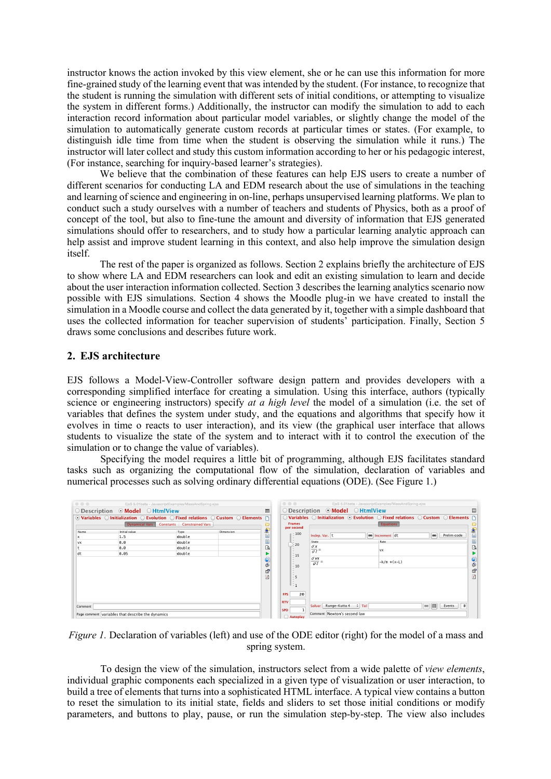instructor knows the action invoked by this view element, she or he can use this information for more fine-grained study of the learning event that was intended by the student. (For instance, to recognize that the student is running the simulation with different sets of initial conditions, or attempting to visualize the system in different forms.) Additionally, the instructor can modify the simulation to add to each interaction record information about particular model variables, or slightly change the model of the simulation to automatically generate custom records at particular times or states. (For example, to distinguish idle time from time when the student is observing the simulation while it runs.) The instructor will later collect and study this custom information according to her or his pedagogic interest, (For instance, searching for inquiry-based learner's strategies).

We believe that the combination of these features can help EJS users to create a number of different scenarios for conducting LA and EDM research about the use of simulations in the teaching and learning of science and engineering in on-line, perhaps unsupervised learning platforms. We plan to conduct such a study ourselves with a number of teachers and students of Physics, both as a proof of concept of the tool, but also to fine-tune the amount and diversity of information that EJS generated simulations should offer to researchers, and to study how a particular learning analytic approach can help assist and improve student learning in this context, and also help improve the simulation design itself.

The rest of the paper is organized as follows. Section 2 explains briefly the architecture of EJS to show where LA and EDM researchers can look and edit an existing simulation to learn and decide about the user interaction information collected. Section 3 describes the learning analytics scenario now possible with EJS simulations. Section 4 shows the Moodle plug-in we have created to install the simulation in a Moodle course and collect the data generated by it, together with a simple dashboard that uses the collected information for teacher supervision of students' participation. Finally, Section 5 draws some conclusions and describes future work.

### **2. EJS architecture**

EJS follows a Model-View-Controller software design pattern and provides developers with a corresponding simplified interface for creating a simulation. Using this interface, authors (typically science or engineering instructors) specify *at a high level* the model of a simulation (i.e. the set of variables that defines the system under study, and the equations and algorithms that specify how it evolves in time o reacts to user interaction), and its view (the graphical user interface that allows students to visualize the state of the system and to interact with it to control the execution of the simulation or to change the value of variables).

Specifying the model requires a little bit of programming, although EJS facilitates standard tasks such as organizing the computational flow of the simulation, declaration of variables and numerical processes such as solving ordinary differential equations (ODE). (See Figure 1.)

| $\begin{array}{c} \circ \\ \circ \\ \circ \end{array}$<br>EjsS 5.01beta - JavascriptExamples/MassAndSpring.ejss |                                                                                                                                      |        |           |                | $\circ \circ \circ$                                              |                             | EjsS 5.01beta - JavascriptExamples/MassAndSpring.ejss                                                                                           |                                               |                                     |
|-----------------------------------------------------------------------------------------------------------------|--------------------------------------------------------------------------------------------------------------------------------------|--------|-----------|----------------|------------------------------------------------------------------|-----------------------------|-------------------------------------------------------------------------------------------------------------------------------------------------|-----------------------------------------------|-------------------------------------|
| $\bigcirc$ Description $\bigcirc$ Model $\bigcirc$ HtmlView                                                     |                                                                                                                                      |        |           | E              | $\bigcirc$ Description $\bigcirc$ Model $\bigcirc$ HtmlView<br>圖 |                             |                                                                                                                                                 |                                               |                                     |
|                                                                                                                 | $\odot$ Variables $\odot$ Initialization $\odot$ Evolution $\odot$ Fixed relations $\odot$ Custom $\odot$ Elements $\upharpoonright$ |        |           |                |                                                                  |                             | $\bigcirc$ Variables $\bigcirc$ Initialization $\bigcirc$ Evolution $\bigcirc$ Fixed relations $\bigcirc$ Custom $\bigcirc$ Elements $\bigcirc$ |                                               |                                     |
| Dynamical Vars Constants Constrained Vars                                                                       |                                                                                                                                      |        |           |                | <b>Frames</b><br>per second                                      |                             | Equations                                                                                                                                       |                                               |                                     |
| Name                                                                                                            | Initial value                                                                                                                        | Type   | Dimension | ₽              | $-100$                                                           |                             |                                                                                                                                                 | Prelim code<br>$\circ$                        | Ù                                   |
| x                                                                                                               | 1.5                                                                                                                                  | double |           | 圕              |                                                                  | Indep. Var. t               | e Increment dt                                                                                                                                  |                                               |                                     |
| <b>VX</b>                                                                                                       | 0.0                                                                                                                                  | double |           | 圕              | $\geq 20$                                                        | State                       | Rate                                                                                                                                            |                                               | 圓                                   |
|                                                                                                                 | 0.0                                                                                                                                  | double |           | $\mathbb{Q}$   |                                                                  | dx<br>$\overline{d}t$       | <b>VX</b>                                                                                                                                       |                                               | $\mathbb{Q}$                        |
| dt                                                                                                              | 0.05                                                                                                                                 | double |           |                | $-15$                                                            |                             |                                                                                                                                                 |                                               |                                     |
|                                                                                                                 |                                                                                                                                      |        | $\bullet$ |                | $d$ $\nu x$<br>$\overline{dI}$ =                                 | $-k/m * (x-L)$              |                                                                                                                                                 | $\frac{1}{2}$                                 |                                     |
|                                                                                                                 |                                                                                                                                      |        |           | ٨              | $-10$                                                            |                             |                                                                                                                                                 |                                               |                                     |
|                                                                                                                 |                                                                                                                                      |        |           | 图              |                                                                  |                             |                                                                                                                                                 |                                               | f                                   |
|                                                                                                                 |                                                                                                                                      |        |           | $\overline{t}$ | $-5$                                                             |                             |                                                                                                                                                 |                                               | $\overline{\underline{\textbf{r}}}$ |
|                                                                                                                 |                                                                                                                                      |        |           |                | U : 1                                                            |                             |                                                                                                                                                 |                                               |                                     |
|                                                                                                                 |                                                                                                                                      |        |           |                |                                                                  |                             |                                                                                                                                                 |                                               |                                     |
|                                                                                                                 |                                                                                                                                      |        |           |                | <b>FPS</b><br>20                                                 |                             |                                                                                                                                                 |                                               |                                     |
|                                                                                                                 |                                                                                                                                      |        |           |                | <b>RTV</b>                                                       |                             |                                                                                                                                                 |                                               |                                     |
| Comment                                                                                                         |                                                                                                                                      |        |           |                |                                                                  | Solver                      | Runge-Kutta 4 = Tol                                                                                                                             | $\left( \frac{1}{2} \right)$<br>- 0<br>Events |                                     |
| Page comment variables that describe the dynamics                                                               |                                                                                                                                      |        |           |                | <b>SPD</b>                                                       | Comment Newton's second law |                                                                                                                                                 |                                               |                                     |
|                                                                                                                 |                                                                                                                                      |        |           |                | Autoplay                                                         |                             |                                                                                                                                                 |                                               |                                     |

*Figure 1.* Declaration of variables (left) and use of the ODE editor (right) for the model of a mass and spring system.

To design the view of the simulation, instructors select from a wide palette of *view elements*, individual graphic components each specialized in a given type of visualization or user interaction, to build a tree of elements that turns into a sophisticated HTML interface. A typical view contains a button to reset the simulation to its initial state, fields and sliders to set those initial conditions or modify parameters, and buttons to play, pause, or run the simulation step-by-step. The view also includes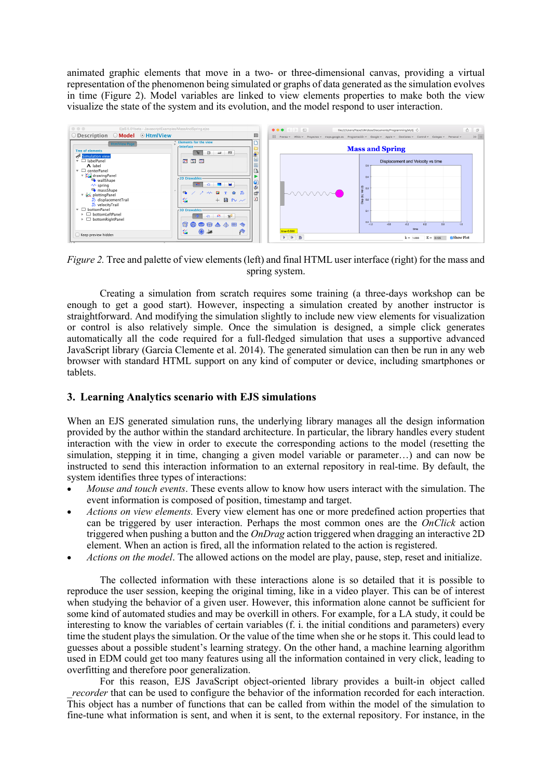animated graphic elements that move in a two- or three-dimensional canvas, providing a virtual representation of the phenomenon being simulated or graphs of data generated as the simulation evolves in time (Figure 2). Model variables are linked to view elements properties to make both the view visualize the state of the system and its evolution, and the model respond to user interaction.



*Figure 2.* Tree and palette of view elements (left) and final HTML user interface (right) for the mass and spring system.

Creating a simulation from scratch requires some training (a three-days workshop can be enough to get a good start). However, inspecting a simulation created by another instructor is straightforward. And modifying the simulation slightly to include new view elements for visualization or control is also relatively simple. Once the simulation is designed, a simple click generates automatically all the code required for a full-fledged simulation that uses a supportive advanced JavaScript library (Garcia Clemente et al. 2014). The generated simulation can then be run in any web browser with standard HTML support on any kind of computer or device, including smartphones or tablets.

# **3. Learning Analytics scenario with EJS simulations**

When an EJS generated simulation runs, the underlying library manages all the design information provided by the author within the standard architecture. In particular, the library handles every student interaction with the view in order to execute the corresponding actions to the model (resetting the simulation, stepping it in time, changing a given model variable or parameter…) and can now be instructed to send this interaction information to an external repository in real-time. By default, the system identifies three types of interactions:

- *Mouse and touch events*. These events allow to know how users interact with the simulation. The event information is composed of position, timestamp and target.
- *Actions on view elements.* Every view element has one or more predefined action properties that can be triggered by user interaction. Perhaps the most common ones are the *OnClick* action triggered when pushing a button and the *OnDrag* action triggered when dragging an interactive 2D element. When an action is fired, all the information related to the action is registered.
- *Actions on the model*. The allowed actions on the model are play, pause, step, reset and initialize.

The collected information with these interactions alone is so detailed that it is possible to reproduce the user session, keeping the original timing, like in a video player. This can be of interest when studying the behavior of a given user. However, this information alone cannot be sufficient for some kind of automated studies and may be overkill in others. For example, for a LA study, it could be interesting to know the variables of certain variables (f. i. the initial conditions and parameters) every time the student plays the simulation. Or the value of the time when she or he stops it. This could lead to guesses about a possible student's learning strategy. On the other hand, a machine learning algorithm used in EDM could get too many features using all the information contained in very click, leading to overfitting and therefore poor generalization.

For this reason, EJS JavaScript object-oriented library provides a built-in object called *recorder* that can be used to configure the behavior of the information recorded for each interaction. This object has a number of functions that can be called from within the model of the simulation to fine-tune what information is sent, and when it is sent, to the external repository. For instance, in the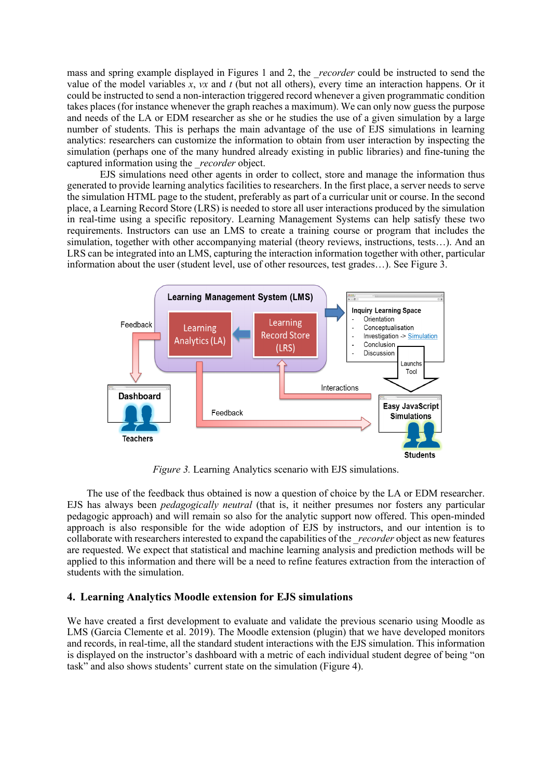mass and spring example displayed in Figures 1 and 2, the *recorder* could be instructed to send the value of the model variables *x*, *vx* and *t* (but not all others), every time an interaction happens. Or it could be instructed to send a non-interaction triggered record whenever a given programmatic condition takes places (for instance whenever the graph reaches a maximum). We can only now guess the purpose and needs of the LA or EDM researcher as she or he studies the use of a given simulation by a large number of students. This is perhaps the main advantage of the use of EJS simulations in learning analytics: researchers can customize the information to obtain from user interaction by inspecting the simulation (perhaps one of the many hundred already existing in public libraries) and fine-tuning the captured information using the *recorder* object.

EJS simulations need other agents in order to collect, store and manage the information thus generated to provide learning analytics facilities to researchers. In the first place, a server needs to serve the simulation HTML page to the student, preferably as part of a curricular unit or course. In the second place, a Learning Record Store (LRS) is needed to store all user interactions produced by the simulation in real-time using a specific repository. Learning Management Systems can help satisfy these two requirements. Instructors can use an LMS to create a training course or program that includes the simulation, together with other accompanying material (theory reviews, instructions, tests…). And an LRS can be integrated into an LMS, capturing the interaction information together with other, particular information about the user (student level, use of other resources, test grades…). See Figure 3.



*Figure 3.* Learning Analytics scenario with EJS simulations.

The use of the feedback thus obtained is now a question of choice by the LA or EDM researcher. EJS has always been *pedagogically neutral* (that is, it neither presumes nor fosters any particular pedagogic approach) and will remain so also for the analytic support now offered. This open-minded approach is also responsible for the wide adoption of EJS by instructors, and our intention is to collaborate with researchers interested to expand the capabilities of the *\_recorder* object as new features are requested. We expect that statistical and machine learning analysis and prediction methods will be applied to this information and there will be a need to refine features extraction from the interaction of students with the simulation.

#### **4. Learning Analytics Moodle extension for EJS simulations**

We have created a first development to evaluate and validate the previous scenario using Moodle as LMS (Garcia Clemente et al.  $2019$ ). The Moodle extension (plugin) that we have developed monitors and records, in real-time, all the standard student interactions with the EJS simulation. This information is displayed on the instructor's dashboard with a metric of each individual student degree of being "on task" and also shows students' current state on the simulation (Figure 4).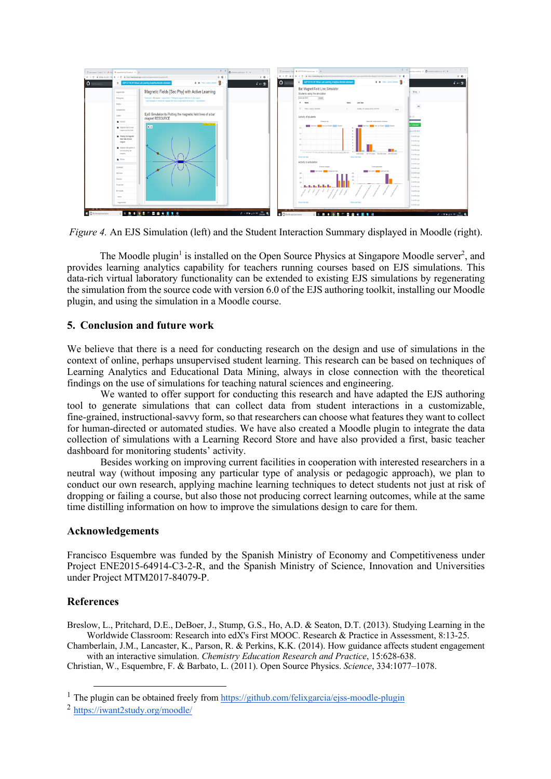

*Figure 4.* An EJS Simulation (left) and the Student Interaction Summary displayed in Moodle (right).

The Moodle plugin<sup>1</sup> is installed on the Open Source Physics at Singapore Moodle server<sup>2</sup>, and provides learning analytics capability for teachers running courses based on EJS simulations. This data-rich virtual laboratory functionality can be extended to existing EJS simulations by regenerating the simulation from the source code with version 6.0 of the EJS authoring toolkit, installing our Moodle plugin, and using the simulation in a Moodle course.

## **5. Conclusion and future work**

We believe that there is a need for conducting research on the design and use of simulations in the context of online, perhaps unsupervised student learning. This research can be based on techniques of Learning Analytics and Educational Data Mining, always in close connection with the theoretical findings on the use of simulations for teaching natural sciences and engineering.

We wanted to offer support for conducting this research and have adapted the EJS authoring tool to generate simulations that can collect data from student interactions in a customizable, fine-grained, instructional-savvy form, so that researchers can choose what features they want to collect for human-directed or automated studies. We have also created a Moodle plugin to integrate the data collection of simulations with a Learning Record Store and have also provided a first, basic teacher dashboard for monitoring students' activity.

Besides working on improving current facilities in cooperation with interested researchers in a neutral way (without imposing any particular type of analysis or pedagogic approach), we plan to conduct our own research, applying machine learning techniques to detect students not just at risk of dropping or failing a course, but also those not producing correct learning outcomes, while at the same time distilling information on how to improve the simulations design to care for them.

## **Acknowledgements**

Francisco Esquembre was funded by the Spanish Ministry of Economy and Competitiveness under Project ENE2015-64914-C3-2-R, and the Spanish Ministry of Science, Innovation and Universities under Project MTM2017-84079-P.

# **References**

Breslow, L., Pritchard, D.E., DeBoer, J., Stump, G.S., Ho, A.D. & Seaton, D.T. (2013). Studying Learning in the Worldwide Classroom: Research into edX's First MOOC. Research & Practice in Assessment, 8:13-25.

Chamberlain, J.M., Lancaster, K., Parson, R. & Perkins, K.K. (2014). How guidance affects student engagement with an interactive simulation. *Chemistry Education Research and Practice*, 15:628-638.

Christian, W., Esquembre, F. & Barbato, L. (2011). Open Source Physics. *Science*, 334:1077–1078.

<sup>&</sup>lt;sup>1</sup> The plugin can be obtained freely from https://github.com/felixgarcia/ejss-moodle-plugin

<sup>2</sup> https://iwant2study.org/moodle/